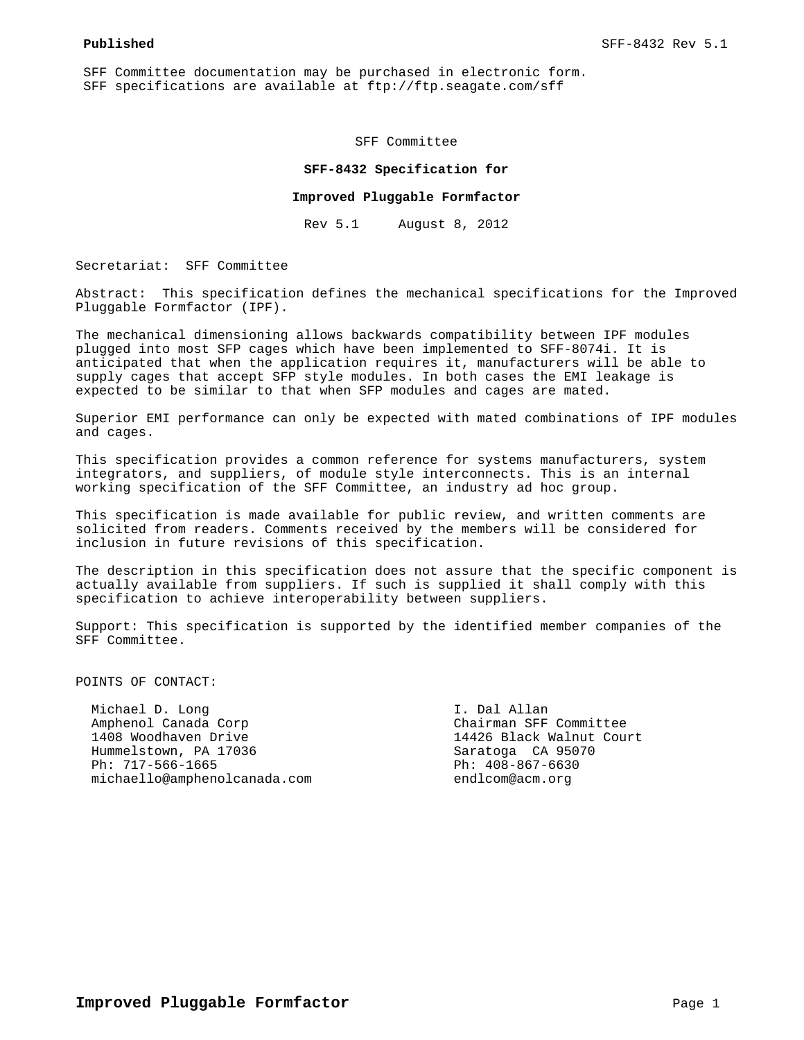SFF Committee documentation may be purchased in electronic form. SFF specifications are available at ftp://ftp.seagate.com/sff

SFF Committee

#### **SFF-8432 Specification for**

#### **Improved Pluggable Formfactor**

Rev 5.1 August 8, 2012

Secretariat: SFF Committee

Abstract: This specification defines the mechanical specifications for the Improved Pluggable Formfactor (IPF).

The mechanical dimensioning allows backwards compatibility between IPF modules plugged into most SFP cages which have been implemented to SFF-8074i. It is anticipated that when the application requires it, manufacturers will be able to supply cages that accept SFP style modules. In both cases the EMI leakage is expected to be similar to that when SFP modules and cages are mated.

Superior EMI performance can only be expected with mated combinations of IPF modules and cages.

This specification provides a common reference for systems manufacturers, system integrators, and suppliers, of module style interconnects. This is an internal working specification of the SFF Committee, an industry ad hoc group.

This specification is made available for public review, and written comments are solicited from readers. Comments received by the members will be considered for inclusion in future revisions of this specification.

The description in this specification does not assure that the specific component is actually available from suppliers. If such is supplied it shall comply with this specification to achieve interoperability between suppliers.

Support: This specification is supported by the identified member companies of the SFF Committee.

POINTS OF CONTACT:

Michael D. Long State Communication of the Michael D. Long Amphenol Canada Corp Chairman SFF Committee Hummelstown, PA 17036 Saratoga CA 95070<br>
Ph: 717-566-1665 Ph: 408-867-6630 michaello@amphenolcanada.com endlcom@acm.org

14426 Black Walnut Court Ph: 408-867-6630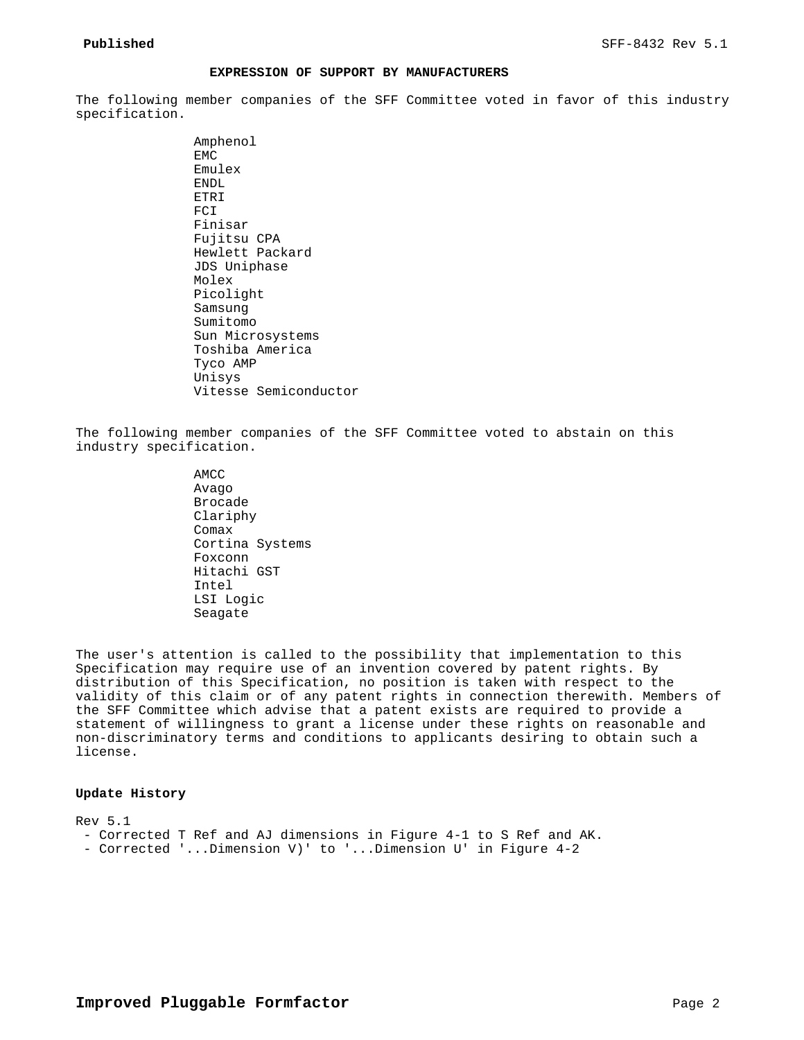## **EXPRESSION OF SUPPORT BY MANUFACTURERS**

The following member companies of the SFF Committee voted in favor of this industry specification.

> Amphenol EMC Emulex ENDL ETRI FCI Finisar Fujitsu CPA Hewlett Packard JDS Uniphase Molex Picolight Samsung Sumitomo Sun Microsystems Toshiba America Tyco AMP Unisys Vitesse Semiconductor

The following member companies of the SFF Committee voted to abstain on this industry specification.

> AMCC Avago Brocade Clariphy Comax Cortina Systems Foxconn Hitachi GST Intel LSI Logic Seagate

The user's attention is called to the possibility that implementation to this Specification may require use of an invention covered by patent rights. By distribution of this Specification, no position is taken with respect to the validity of this claim or of any patent rights in connection therewith. Members of the SFF Committee which advise that a patent exists are required to provide a statement of willingness to grant a license under these rights on reasonable and non-discriminatory terms and conditions to applicants desiring to obtain such a license.

#### **Update History**

Rev 5.1 - Corrected T Ref and AJ dimensions in Figure 4-1 to S Ref and AK. - Corrected '...Dimension V)' to '...Dimension U' in Figure 4-2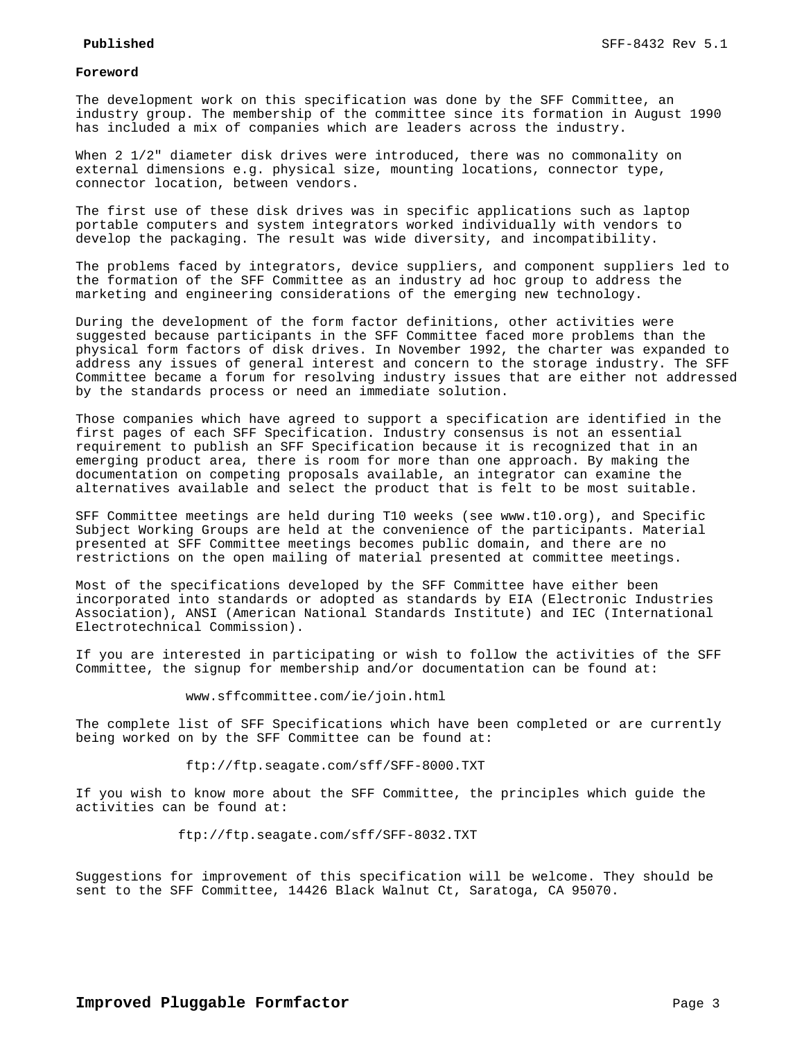### **Foreword**

The development work on this specification was done by the SFF Committee, an industry group. The membership of the committee since its formation in August 1990 has included a mix of companies which are leaders across the industry.

When 2 1/2" diameter disk drives were introduced, there was no commonality on external dimensions e.g. physical size, mounting locations, connector type, connector location, between vendors.

The first use of these disk drives was in specific applications such as laptop portable computers and system integrators worked individually with vendors to develop the packaging. The result was wide diversity, and incompatibility.

The problems faced by integrators, device suppliers, and component suppliers led to the formation of the SFF Committee as an industry ad hoc group to address the marketing and engineering considerations of the emerging new technology.

During the development of the form factor definitions, other activities were suggested because participants in the SFF Committee faced more problems than the physical form factors of disk drives. In November 1992, the charter was expanded to address any issues of general interest and concern to the storage industry. The SFF Committee became a forum for resolving industry issues that are either not addressed by the standards process or need an immediate solution.

Those companies which have agreed to support a specification are identified in the first pages of each SFF Specification. Industry consensus is not an essential requirement to publish an SFF Specification because it is recognized that in an emerging product area, there is room for more than one approach. By making the documentation on competing proposals available, an integrator can examine the alternatives available and select the product that is felt to be most suitable.

SFF Committee meetings are held during T10 weeks (see www.t10.org), and Specific Subject Working Groups are held at the convenience of the participants. Material presented at SFF Committee meetings becomes public domain, and there are no restrictions on the open mailing of material presented at committee meetings.

Most of the specifications developed by the SFF Committee have either been incorporated into standards or adopted as standards by EIA (Electronic Industries Association), ANSI (American National Standards Institute) and IEC (International Electrotechnical Commission).

If you are interested in participating or wish to follow the activities of the SFF Committee, the signup for membership and/or documentation can be found at:

www.sffcommittee.com/ie/join.html

The complete list of SFF Specifications which have been completed or are currently being worked on by the SFF Committee can be found at:

ftp://ftp.seagate.com/sff/SFF-8000.TXT

If you wish to know more about the SFF Committee, the principles which guide the activities can be found at:

ftp://ftp.seagate.com/sff/SFF-8032.TXT

Suggestions for improvement of this specification will be welcome. They should be sent to the SFF Committee, 14426 Black Walnut Ct, Saratoga, CA 95070.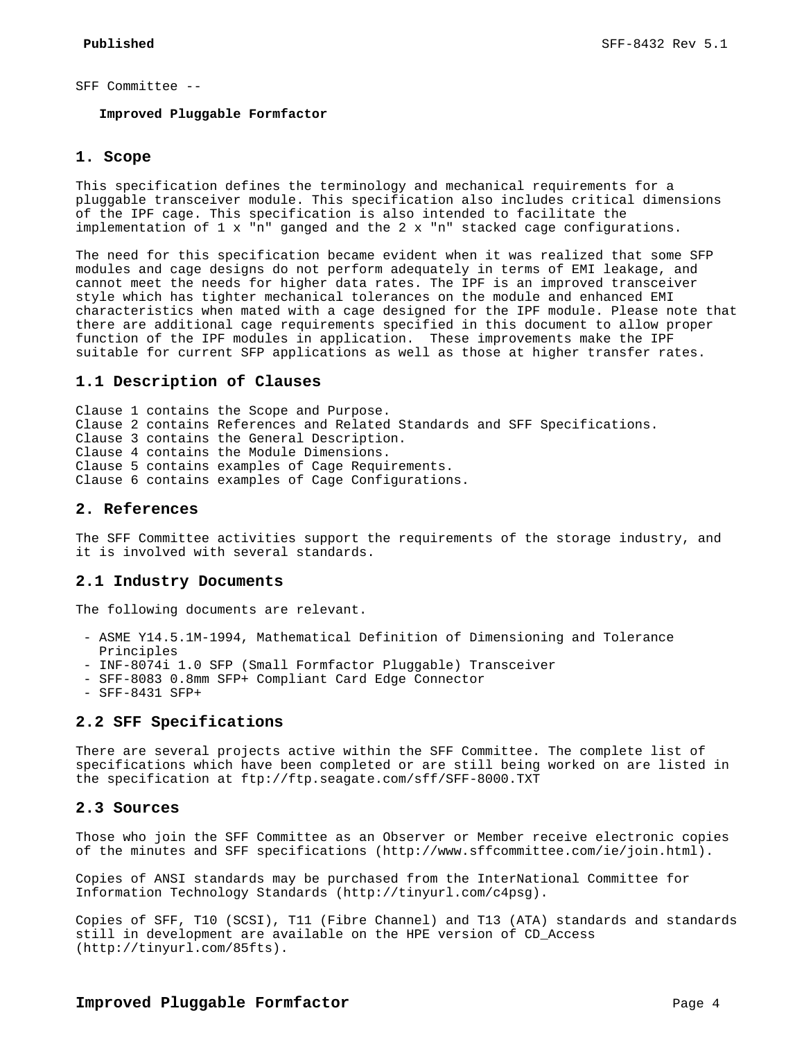### SFF Committee --

#### **Improved Pluggable Formfactor**

#### **1. Scope**

This specification defines the terminology and mechanical requirements for a pluggable transceiver module. This specification also includes critical dimensions of the IPF cage. This specification is also intended to facilitate the implementation of 1 x "n" ganged and the 2 x "n" stacked cage configurations.

The need for this specification became evident when it was realized that some SFP modules and cage designs do not perform adequately in terms of EMI leakage, and cannot meet the needs for higher data rates. The IPF is an improved transceiver style which has tighter mechanical tolerances on the module and enhanced EMI characteristics when mated with a cage designed for the IPF module. Please note that there are additional cage requirements specified in this document to allow proper function of the IPF modules in application. These improvements make the IPF suitable for current SFP applications as well as those at higher transfer rates.

## **1.1 Description of Clauses**

Clause 1 contains the Scope and Purpose. Clause 2 contains References and Related Standards and SFF Specifications. Clause 3 contains the General Description. Clause 4 contains the Module Dimensions. Clause 5 contains examples of Cage Requirements. Clause 6 contains examples of Cage Configurations.

## **2. References**

The SFF Committee activities support the requirements of the storage industry, and it is involved with several standards.

## **2.1 Industry Documents**

The following documents are relevant.

- ASME Y14.5.1M-1994, Mathematical Definition of Dimensioning and Tolerance Principles
- INF-8074i 1.0 SFP (Small Formfactor Pluggable) Transceiver
- SFF-8083 0.8mm SFP+ Compliant Card Edge Connector
- SFF-8431 SFP+

## **2.2 SFF Specifications**

There are several projects active within the SFF Committee. The complete list of specifications which have been completed or are still being worked on are listed in the specification at ftp://ftp.seagate.com/sff/SFF-8000.TXT

# **2.3 Sources**

Those who join the SFF Committee as an Observer or Member receive electronic copies of the minutes and SFF specifications (http://www.sffcommittee.com/ie/join.html).

Copies of ANSI standards may be purchased from the InterNational Committee for Information Technology Standards (http://tinyurl.com/c4psg).

Copies of SFF, T10 (SCSI), T11 (Fibre Channel) and T13 (ATA) standards and standards still in development are available on the HPE version of CD\_Access (http://tinyurl.com/85fts).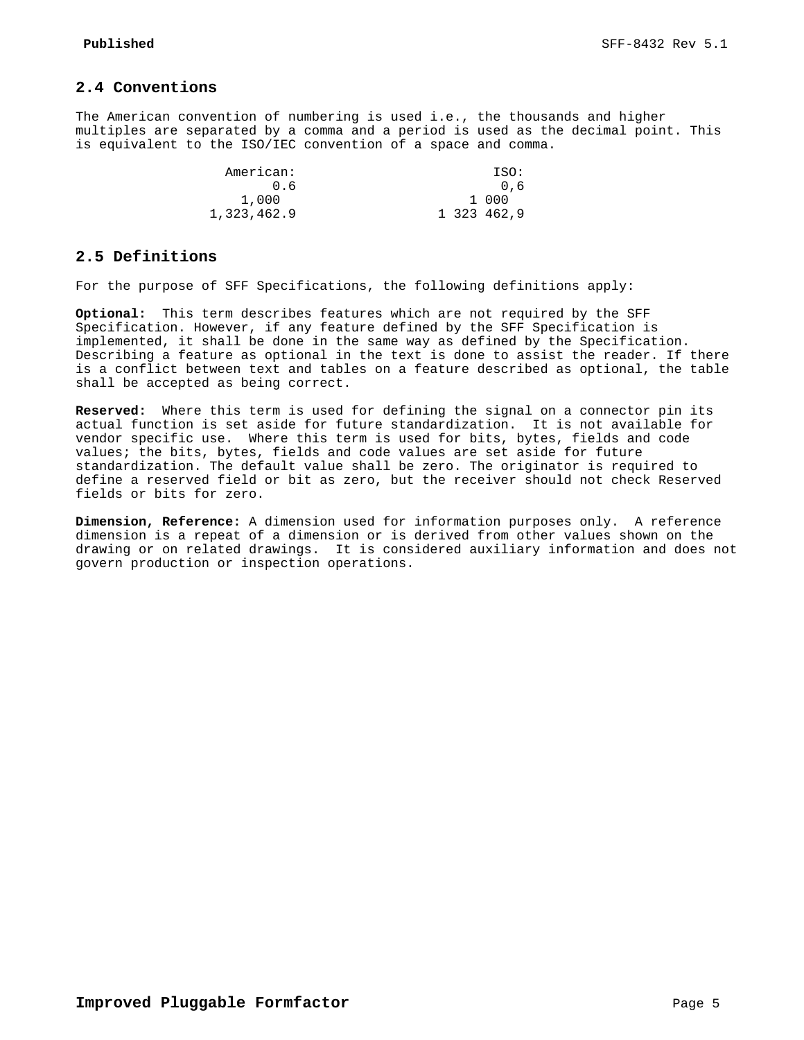# **2.4 Conventions**

The American convention of numbering is used i.e., the thousands and higher multiples are separated by a comma and a period is used as the decimal point. This is equivalent to the ISO/IEC convention of a space and comma.

| American:   | ISO:        |
|-------------|-------------|
|             | 0.6         |
| 1,000       | 1 000       |
| 1,323,462.9 | 1 323 462.9 |

## **2.5 Definitions**

For the purpose of SFF Specifications, the following definitions apply:

**Optional:** This term describes features which are not required by the SFF Specification. However, if any feature defined by the SFF Specification is implemented, it shall be done in the same way as defined by the Specification. Describing a feature as optional in the text is done to assist the reader. If there is a conflict between text and tables on a feature described as optional, the table shall be accepted as being correct.

**Reserved:** Where this term is used for defining the signal on a connector pin its actual function is set aside for future standardization. It is not available for vendor specific use. Where this term is used for bits, bytes, fields and code values; the bits, bytes, fields and code values are set aside for future standardization. The default value shall be zero. The originator is required to define a reserved field or bit as zero, but the receiver should not check Reserved fields or bits for zero.

**Dimension, Reference:** A dimension used for information purposes only. A reference dimension is a repeat of a dimension or is derived from other values shown on the drawing or on related drawings. It is considered auxiliary information and does not govern production or inspection operations.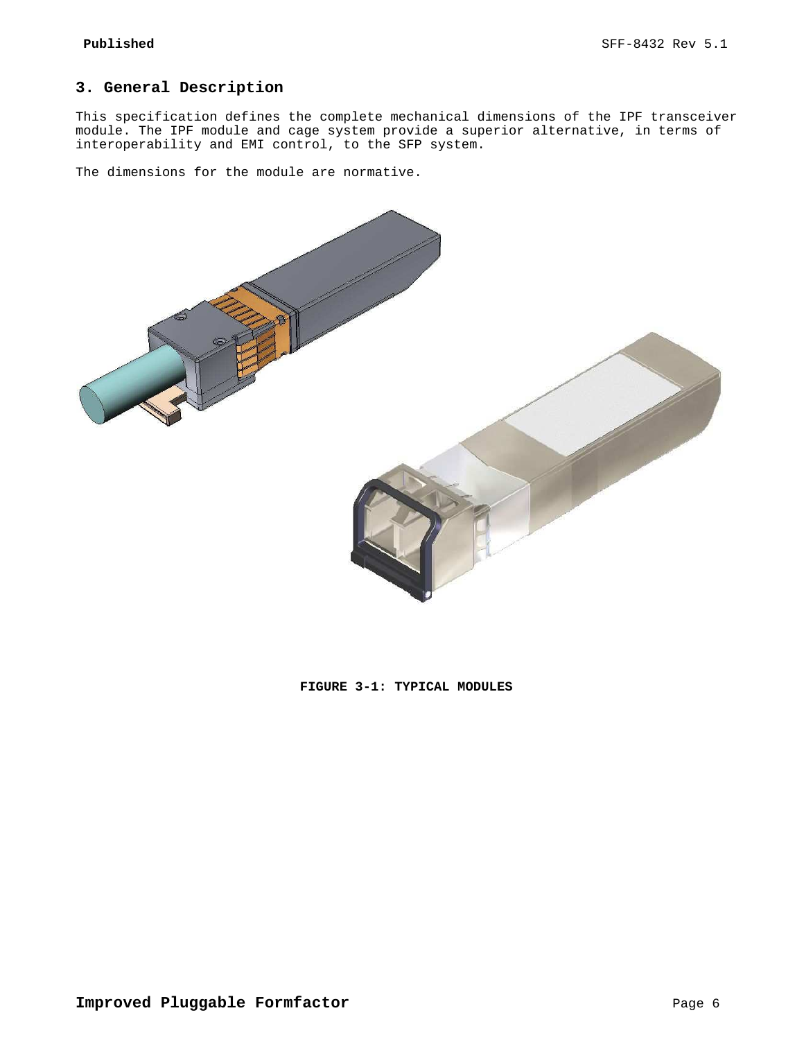# **3. General Description**

This specification defines the complete mechanical dimensions of the IPF transceiver module. The IPF module and cage system provide a superior alternative, in terms of interoperability and EMI control, to the SFP system.

The dimensions for the module are normative.



**FIGURE 3-1: TYPICAL MODULES**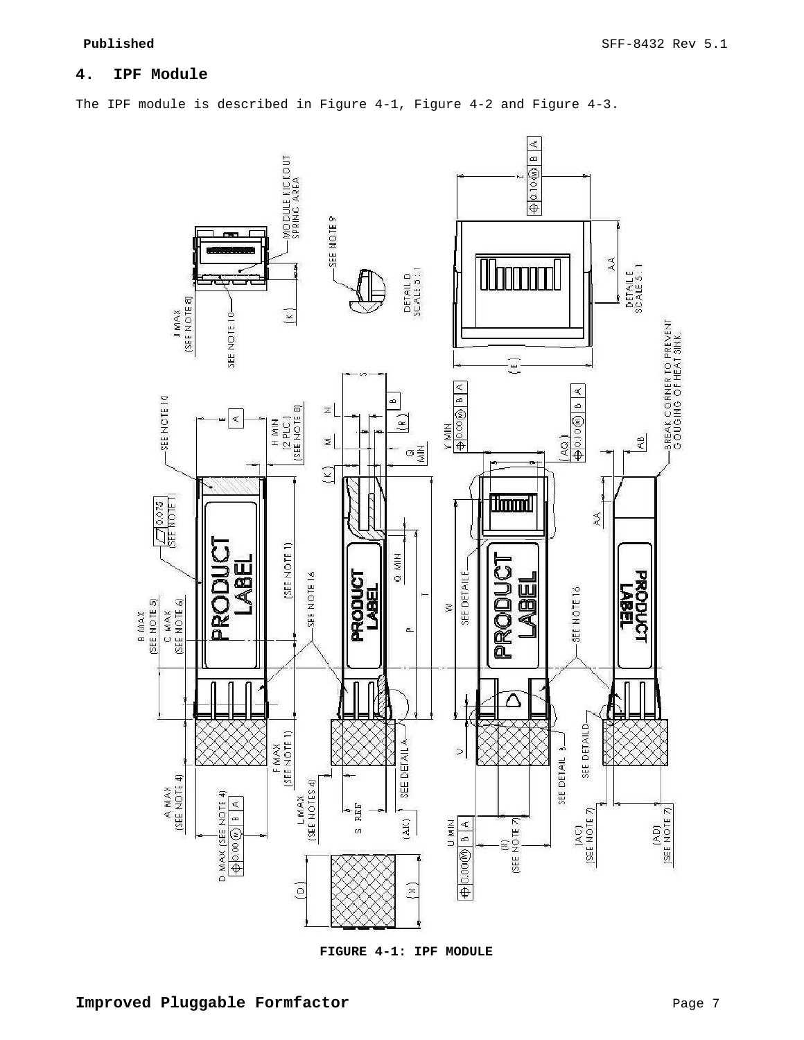# **4. IPF Module**

The IPF module is described in Figure 4-1, Figure 4-2 and Figure 4-3.



**FIGURE 4-1: IPF MODULE**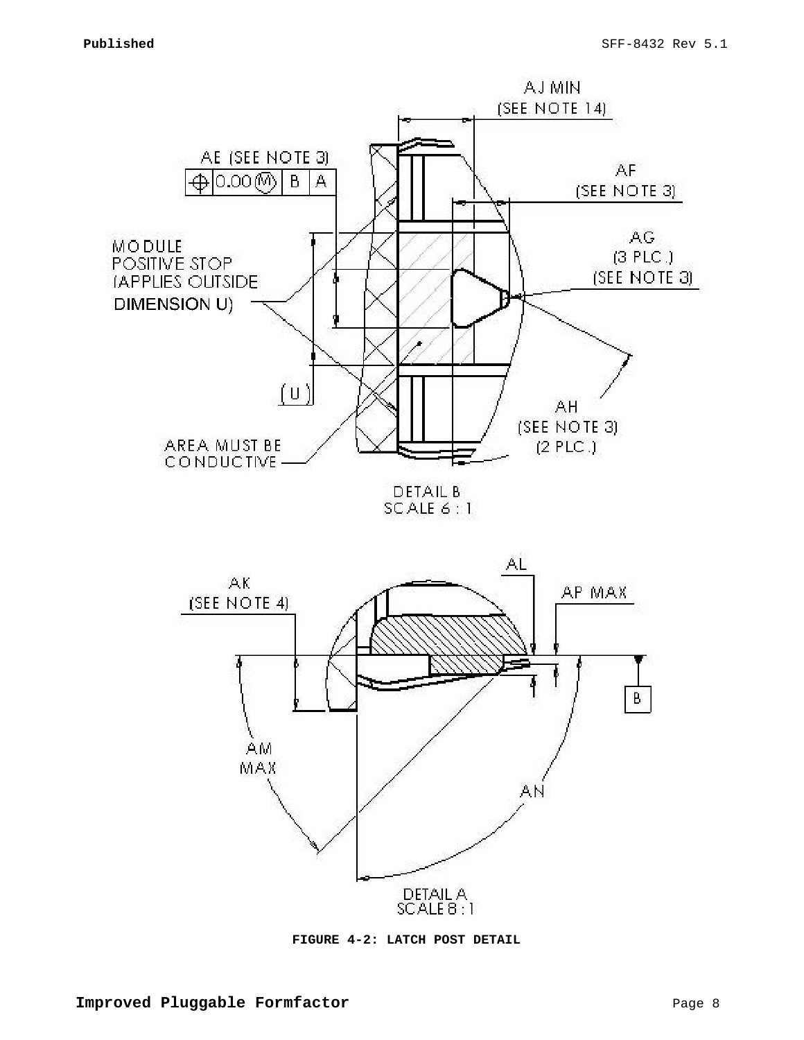

SCALE 6:1



**FIGURE 4-2: LATCH POST DETAIL**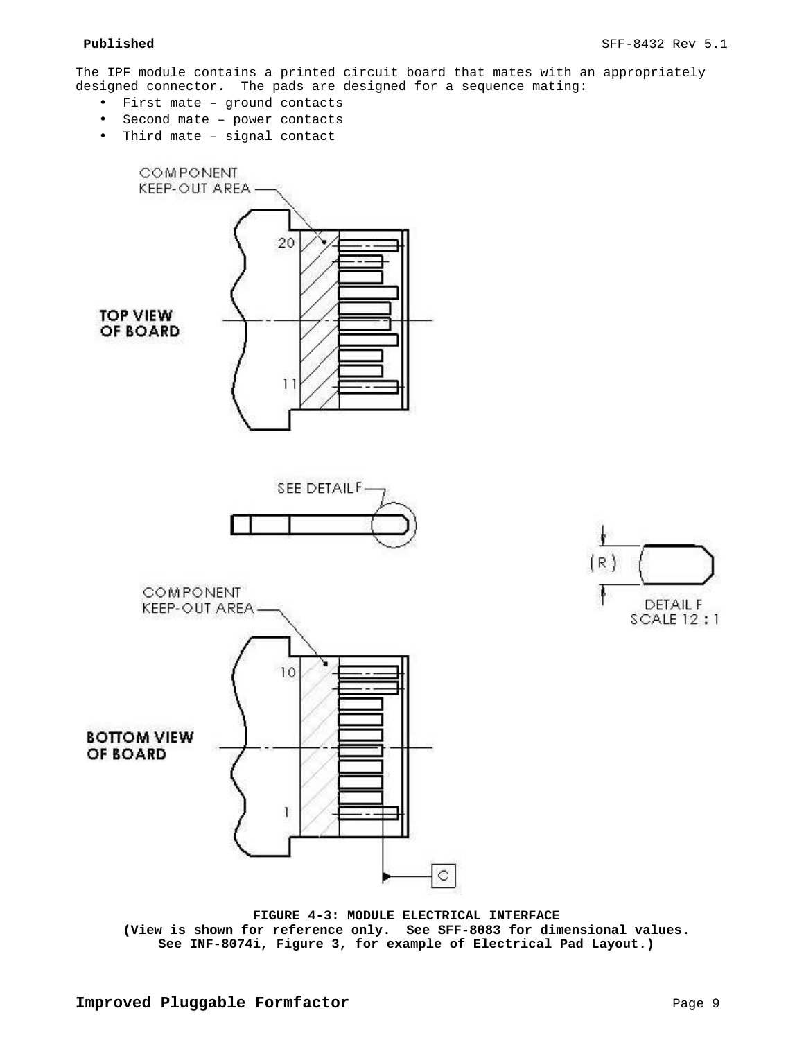The IPF module contains a printed circuit board that mates with an appropriately designed connector. The pads are designed for a sequence mating:

- First mate ground contacts
- Second mate power contacts
- Third mate signal contact





**FIGURE 4-3: MODULE ELECTRICAL INTERFACE (View is shown for reference only. See SFF-8083 for dimensional values. See INF-8074i, Figure 3, for example of Electrical Pad Layout.)**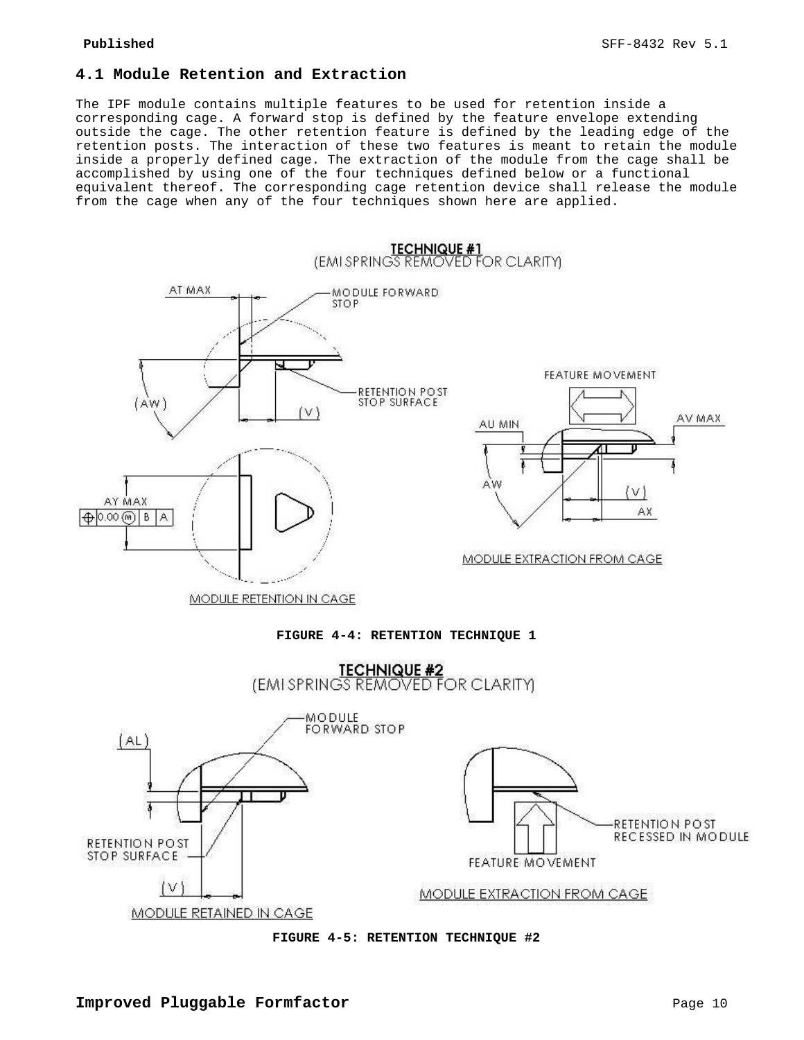# **4.1 Module Retention and Extraction**

The IPF module contains multiple features to be used for retention inside a corresponding cage. A forward stop is defined by the feature envelope extending outside the cage. The other retention feature is defined by the leading edge of the retention posts. The interaction of these two features is meant to retain the module inside a properly defined cage. The extraction of the module from the cage shall be accomplished by using one of the four techniques defined below or a functional equivalent thereof. The corresponding cage retention device shall release the module from the cage when any of the four techniques shown here are applied.



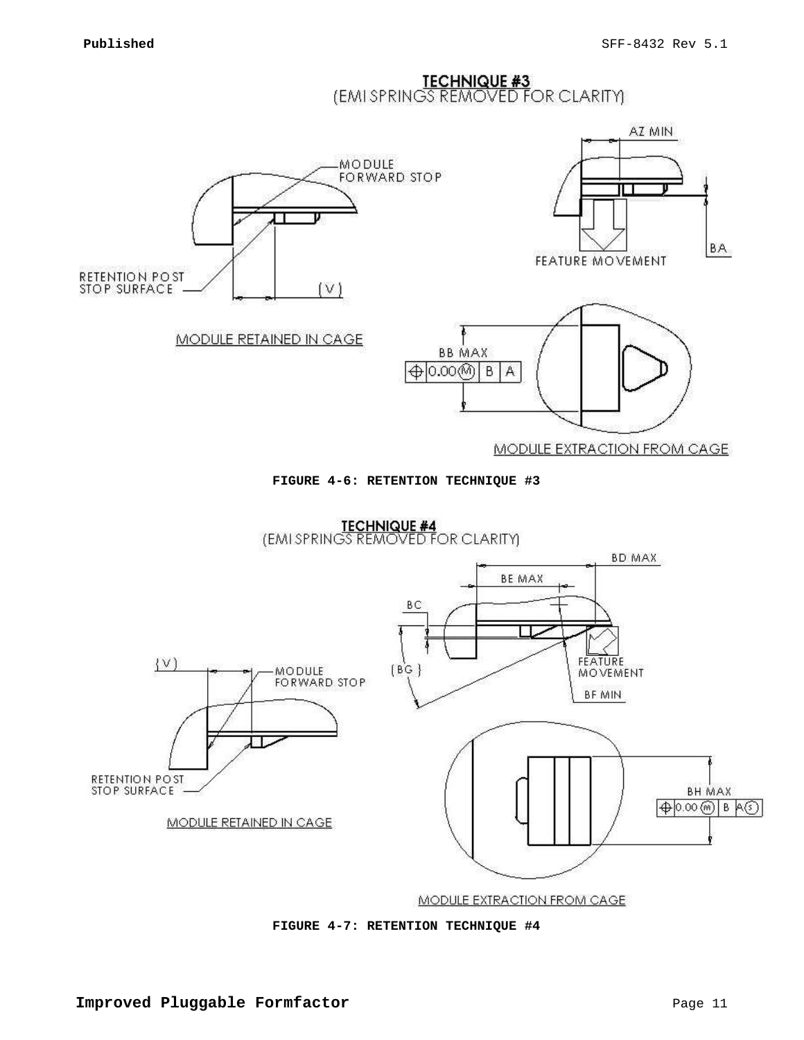**TECHNIQUE #3**<br>(EMISPRINGS REMOVED FOR CLARITY)







**MODULE EXTRACTION FROM CAGE** 

**FIGURE 4-7: RETENTION TECHNIQUE #4**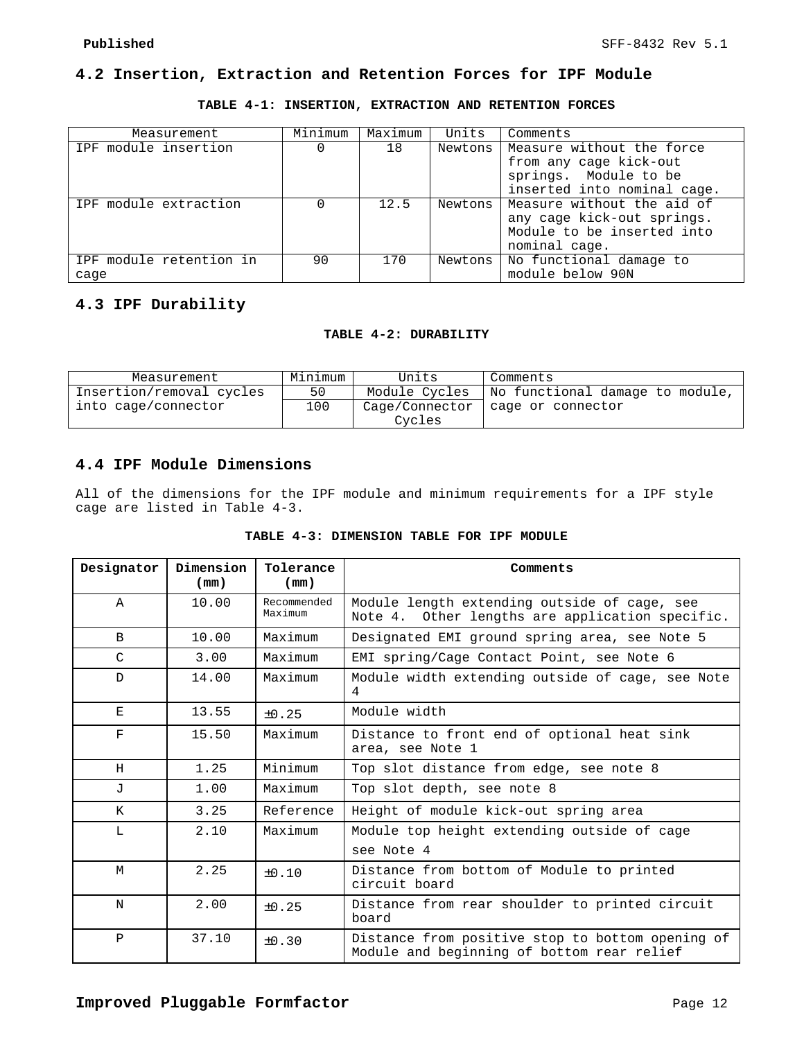# **4.2 Insertion, Extraction and Retention Forces for IPF Module**

**TABLE 4-1: INSERTION, EXTRACTION AND RETENTION FORCES** 

| Measurement                     | Minimum | Maximum | Units   | Comments                                                                                                    |
|---------------------------------|---------|---------|---------|-------------------------------------------------------------------------------------------------------------|
| IPF module insertion            |         | 18      | Newtons | Measure without the force<br>from any cage kick-out<br>springs. Module to be<br>inserted into nominal cage. |
| IPF module extraction           |         | 12.5    | Newtons | Measure without the aid of<br>any cage kick-out springs.<br>Module to be inserted into<br>nominal cage.     |
| IPF module retention in<br>cage | 90      | 170     | Newtons | No functional damage to<br>module below 90N                                                                 |

# **4.3 IPF Durability**

## **TABLE 4-2: DURABILITY**

| Measurement              | Minimum | Units          | Comments                                        |
|--------------------------|---------|----------------|-------------------------------------------------|
| Insertion/removal cycles | 50      |                | Module Cycles   No functional damage to module, |
| into cage/connector      | 100     | Cage/Connector | cage or connector                               |
|                          |         | Cycles         |                                                 |

# **4.4 IPF Module Dimensions**

All of the dimensions for the IPF module and minimum requirements for a IPF style cage are listed in Table 4-3.

|  |  | TABLE 4-3: DIMENSION TABLE FOR IPF MODULE |  |  |  |  |  |
|--|--|-------------------------------------------|--|--|--|--|--|
|--|--|-------------------------------------------|--|--|--|--|--|

| Designator              | Dimension<br>(mm) | Tolerance<br>(mm)      | Comments                                                                                        |
|-------------------------|-------------------|------------------------|-------------------------------------------------------------------------------------------------|
| $\mathbb A$             | 10.00             | Recommended<br>Maximum | Module length extending outside of cage, see<br>Note 4. Other lengths are application specific. |
| $\mathbf B$             | 10.00             | Maximum                | Designated EMI ground spring area, see Note 5                                                   |
| C                       | 3.00              | Maximum                | EMI spring/Cage Contact Point, see Note 6                                                       |
| $\mathbf D$             | 14.00             | Maximum                | Module width extending outside of cage, see Note<br>4                                           |
| Е                       | 13.55             | $\pm 0.25$             | Module width                                                                                    |
| $\overline{\mathrm{F}}$ | 15.50             | Maximum                | Distance to front end of optional heat sink<br>area, see Note 1                                 |
| H                       | 1.25              | Minimum                | Top slot distance from edge, see note 8                                                         |
| $\mathbf{J}$            | 1.00              | Maximum                | Top slot depth, see note 8                                                                      |
| K                       | 3.25              | Reference              | Height of module kick-out spring area                                                           |
| T.                      | 2.10              | Maximum                | Module top height extending outside of cage                                                     |
|                         |                   |                        | see Note 4                                                                                      |
| M                       | 2.25              | $+0.10$                | Distance from bottom of Module to printed<br>circuit board                                      |
| N                       | 2.00              | $+0.25$                | Distance from rear shoulder to printed circuit<br>board                                         |
| $\mathbf{P}$            | 37.10             | $\pm 0.30$             | Distance from positive stop to bottom opening of<br>Module and beginning of bottom rear relief  |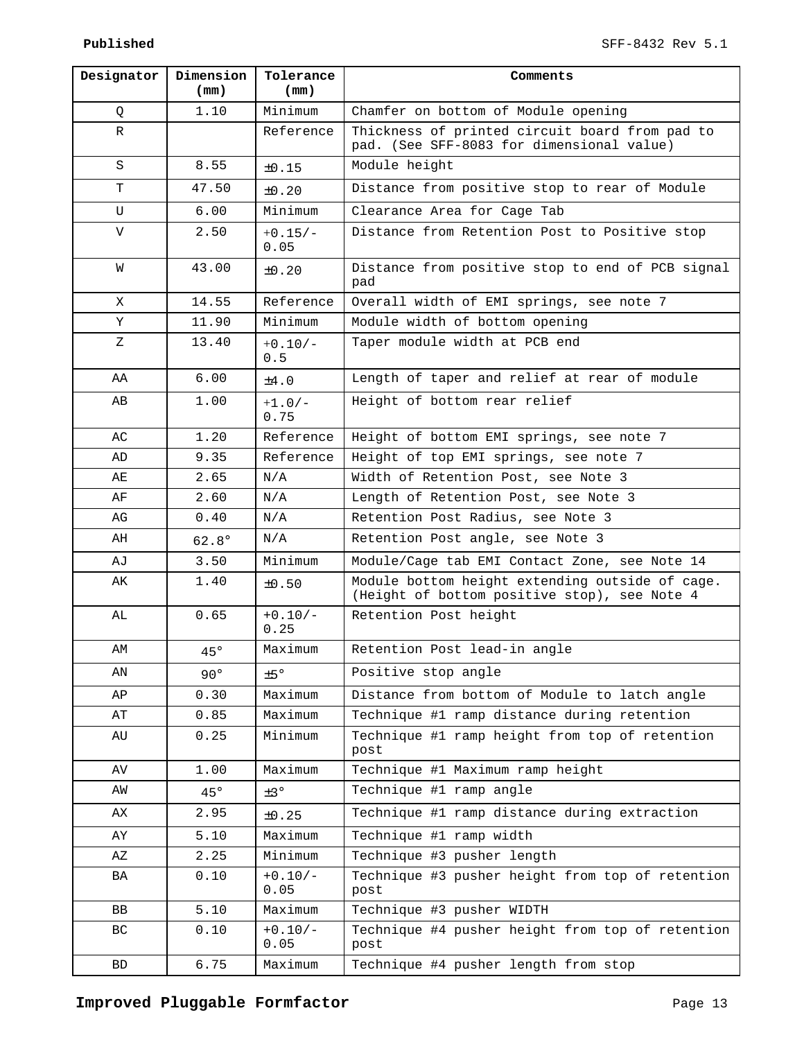| Designator | Dimension<br>(mm) | Tolerance<br>(mm) | Comments                                                                                        |  |
|------------|-------------------|-------------------|-------------------------------------------------------------------------------------------------|--|
| Q          | 1.10              | Minimum           | Chamfer on bottom of Module opening                                                             |  |
| R          |                   | Reference         | Thickness of printed circuit board from pad to<br>pad. (See SFF-8083 for dimensional value)     |  |
| S          | 8.55              | $\pm 0.15$        | Module height                                                                                   |  |
| т          | 47.50             | $\pm 0.20$        | Distance from positive stop to rear of Module                                                   |  |
| U          | 6.00              | Minimum           | Clearance Area for Cage Tab                                                                     |  |
| V          | 2.50              | $+0.15/-$<br>0.05 | Distance from Retention Post to Positive stop                                                   |  |
| W          | 43.00             | $\pm 0.20$        | Distance from positive stop to end of PCB signal<br>pad                                         |  |
| X          | 14.55             | Reference         | Overall width of EMI springs, see note 7                                                        |  |
| Υ          | 11.90             | Minimum           | Module width of bottom opening                                                                  |  |
| Ζ          | 13.40             | $+0.10/-$<br>0.5  | Taper module width at PCB end                                                                   |  |
| AA         | 6.00              | $\pm 4.0$         | Length of taper and relief at rear of module                                                    |  |
| AВ         | 1.00              | $+1.0/-$<br>0.75  | Height of bottom rear relief                                                                    |  |
| AC         | 1.20              | Reference         | Height of bottom EMI springs, see note 7                                                        |  |
| AD         | 9.35              | Reference         | Height of top EMI springs, see note 7                                                           |  |
| AE         | 2.65              | N/A               | Width of Retention Post, see Note 3                                                             |  |
| AF         | 2.60              | N/A               | Length of Retention Post, see Note 3                                                            |  |
| AG         | 0.40              | N/A               | Retention Post Radius, see Note 3                                                               |  |
| AH         | $62.8^\circ$      | N/A               | Retention Post angle, see Note 3                                                                |  |
| AJ         | 3.50              | Minimum           | Module/Cage tab EMI Contact Zone, see Note 14                                                   |  |
| AK         | 1.40              | ±0.50             | Module bottom height extending outside of cage.<br>(Height of bottom positive stop), see Note 4 |  |
| AL         | 0.65              | $+0.10/-$<br>0.25 | Retention Post height                                                                           |  |
| AM         | $45^\circ$        | Maximum           | Retention Post lead-in angle                                                                    |  |
| AN         | $90^\circ$        | ±5°               | Positive stop angle                                                                             |  |
| AP         | 0.30              | Maximum           | Distance from bottom of Module to latch angle                                                   |  |
| ΑT         | 0.85              | Maximum           | Technique #1 ramp distance during retention                                                     |  |
| AU         | 0.25              | Minimum           | Technique #1 ramp height from top of retention<br>post                                          |  |
| AV         | 1.00              | Maximum           | Technique #1 Maximum ramp height                                                                |  |
| AW         | $45^{\circ}$      | $\pm$ 3°          | Technique #1 ramp angle                                                                         |  |
| АX         | 2.95              | ±0.25             | Technique #1 ramp distance during extraction                                                    |  |
| AY         | 5.10              | Maximum           | Technique #1 ramp width                                                                         |  |
| ΑZ         | 2.25              | Minimum           | Technique #3 pusher length                                                                      |  |
| BA         | 0.10              | $+0.10/-$<br>0.05 | Technique #3 pusher height from top of retention<br>post                                        |  |
| BB         | 5.10              | Maximum           | Technique #3 pusher WIDTH                                                                       |  |
| ВC         | 0.10              | $+0.10/-$<br>0.05 | Technique #4 pusher height from top of retention<br>post                                        |  |
| BD         | 6.75              | Maximum           | Technique #4 pusher length from stop                                                            |  |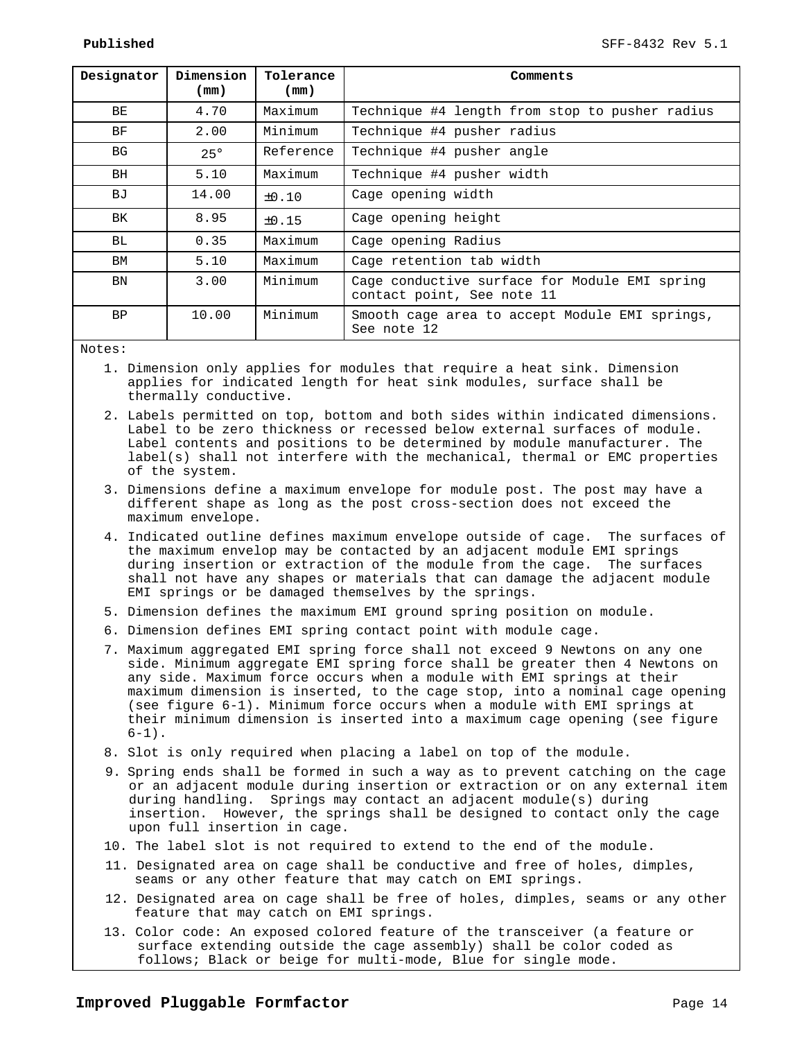| Designator | Dimension<br>(mm) | Tolerance<br>(mm) | Comments                                                                    |
|------------|-------------------|-------------------|-----------------------------------------------------------------------------|
| BE         | 4.70              | Maximum           | Technique #4 length from stop to pusher radius                              |
| BF         | 2.00              | Minimum           | Technique #4 pusher radius                                                  |
| <b>BG</b>  | $25^\circ$        | Reference         | Technique #4 pusher angle                                                   |
| BH         | 5.10              | Maximum           | Technique #4 pusher width                                                   |
| ВJ         | 14.00             | $\pm 0.10$        | Cage opening width                                                          |
| BK         | 8.95              | $\pm 0.15$        | Cage opening height                                                         |
| BL.        | 0.35              | Maximum           | Cage opening Radius                                                         |
| BM         | 5.10              | Maximum           | Cage retention tab width                                                    |
| BN         | 3.00              | Minimum           | Cage conductive surface for Module EMI spring<br>contact point, See note 11 |
| BP         | 10.00             | Minimum           | Smooth cage area to accept Module EMI springs,<br>See note 12               |

#### Notes:

- 1. Dimension only applies for modules that require a heat sink. Dimension applies for indicated length for heat sink modules, surface shall be thermally conductive.
- 2. Labels permitted on top, bottom and both sides within indicated dimensions. Label to be zero thickness or recessed below external surfaces of module. Label contents and positions to be determined by module manufacturer. The label(s) shall not interfere with the mechanical, thermal or EMC properties of the system.
- 3. Dimensions define a maximum envelope for module post. The post may have a different shape as long as the post cross-section does not exceed the maximum envelope.
- 4. Indicated outline defines maximum envelope outside of cage. The surfaces of the maximum envelop may be contacted by an adjacent module EMI springs during insertion or extraction of the module from the cage. The surfaces shall not have any shapes or materials that can damage the adjacent module EMI springs or be damaged themselves by the springs.
- 5. Dimension defines the maximum EMI ground spring position on module.
- 6. Dimension defines EMI spring contact point with module cage.
- 7. Maximum aggregated EMI spring force shall not exceed 9 Newtons on any one side. Minimum aggregate EMI spring force shall be greater then 4 Newtons on any side. Maximum force occurs when a module with EMI springs at their maximum dimension is inserted, to the cage stop, into a nominal cage opening (see figure 6-1). Minimum force occurs when a module with EMI springs at their minimum dimension is inserted into a maximum cage opening (see figure  $6-1)$ .
- 8. Slot is only required when placing a label on top of the module.
- 9. Spring ends shall be formed in such a way as to prevent catching on the cage or an adjacent module during insertion or extraction or on any external item during handling. Springs may contact an adjacent module(s) during insertion. However, the springs shall be designed to contact only the cage upon full insertion in cage.
- 10. The label slot is not required to extend to the end of the module.
- 11. Designated area on cage shall be conductive and free of holes, dimples, seams or any other feature that may catch on EMI springs.
- 12. Designated area on cage shall be free of holes, dimples, seams or any other feature that may catch on EMI springs.
- 13. Color code: An exposed colored feature of the transceiver (a feature or surface extending outside the cage assembly) shall be color coded as follows; Black or beige for multi-mode, Blue for single mode.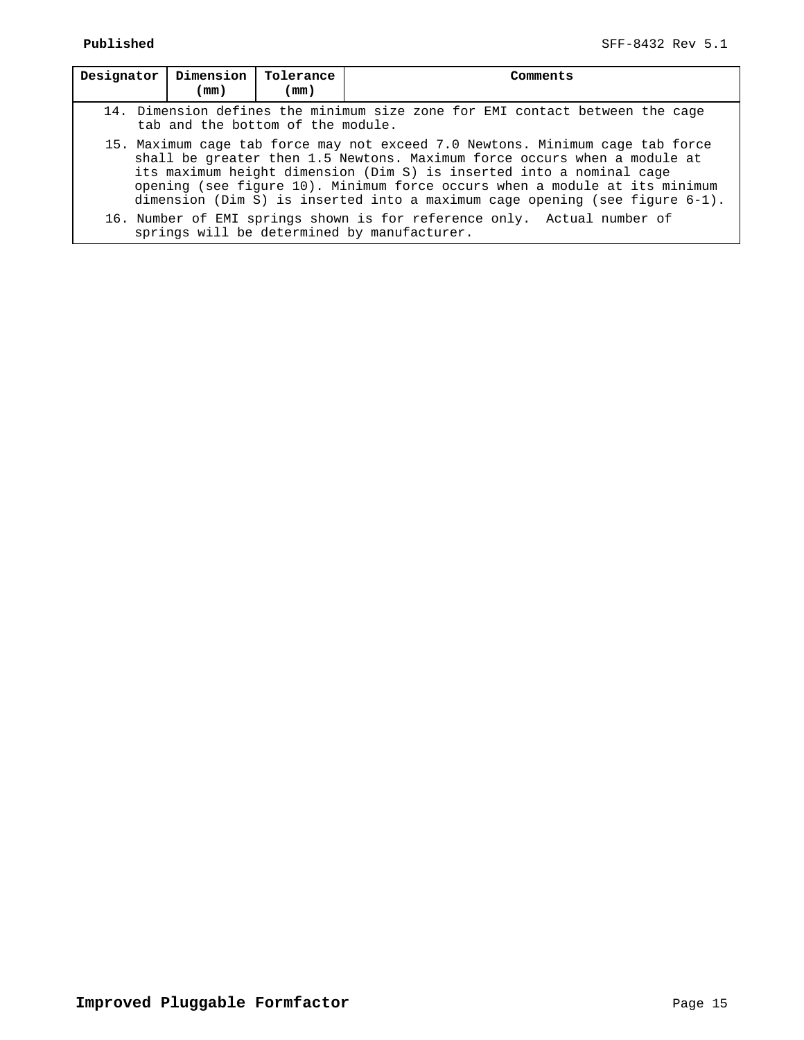| Designator                                                                                                                                                                                                                                                                                                                                                                                        | Dimension<br>Tolerance<br>Comments<br>(mm)<br>(mm)                                                                |  |  |                                                                                                                        |  |  |
|---------------------------------------------------------------------------------------------------------------------------------------------------------------------------------------------------------------------------------------------------------------------------------------------------------------------------------------------------------------------------------------------------|-------------------------------------------------------------------------------------------------------------------|--|--|------------------------------------------------------------------------------------------------------------------------|--|--|
|                                                                                                                                                                                                                                                                                                                                                                                                   | 14. Dimension defines the minimum size zone for EMI contact between the cage<br>tab and the bottom of the module. |  |  |                                                                                                                        |  |  |
| 15. Maximum cage tab force may not exceed 7.0 Newtons. Minimum cage tab force<br>shall be greater then 1.5 Newtons. Maximum force occurs when a module at<br>its maximum height dimension (Dim S) is inserted into a nominal cage<br>opening (see figure 10). Minimum force occurs when a module at its minimum<br>dimension (Dim S) is inserted into a maximum cage opening (see figure $6-1$ ). |                                                                                                                   |  |  |                                                                                                                        |  |  |
|                                                                                                                                                                                                                                                                                                                                                                                                   |                                                                                                                   |  |  | 16. Number of EMI springs shown is for reference only. Actual number of<br>springs will be determined by manufacturer. |  |  |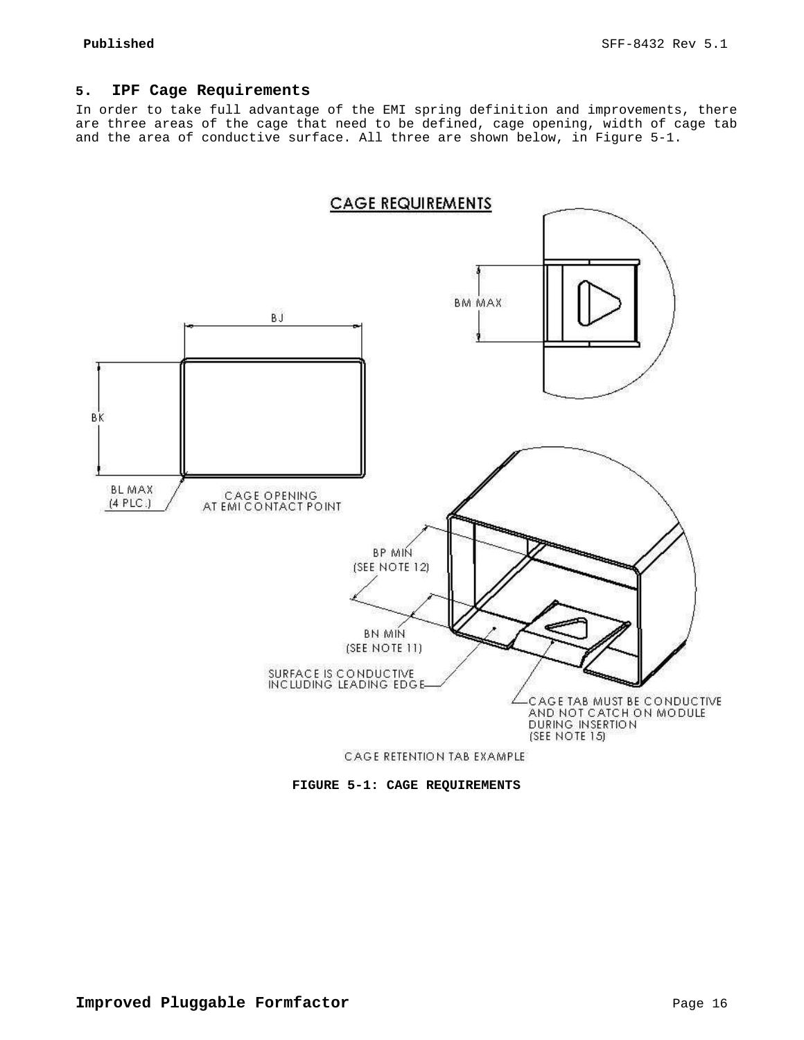## **5. IPF Cage Requirements**

In order to take full advantage of the EMI spring definition and improvements, there are three areas of the cage that need to be defined, cage opening, width of cage tab and the area of conductive surface. All three are shown below, in Figure 5-1.



**FIGURE 5-1: CAGE REQUIREMENTS**